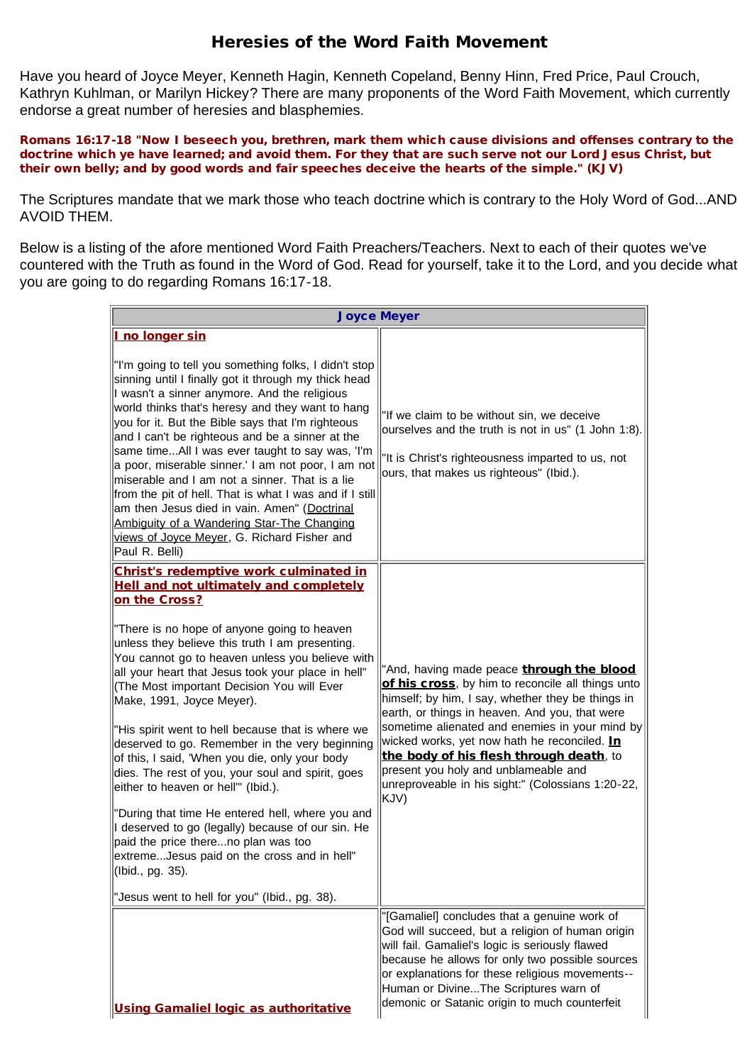## Heresies of the Word Faith Movement

Have you heard of Joyce Meyer, Kenneth Hagin, Kenneth Copeland, Benny Hinn, Fred Price, Paul Crouch, Kathryn Kuhlman, or Marilyn Hickey? There are many proponents of the Word Faith Movement, which currently endorse a great number of heresies and blasphemies.

Romans 16:17-18 "Now I beseech you, brethren, mark them which cause divisions and offenses contrary to the doctrine which ye have learned; and avoid them. For they that are such serve not our Lord Jesus Christ, but their own belly; and by good words and fair speeches deceive the hearts of the simple." (KJV)

The Scriptures mandate that we mark those who teach doctrine which is contrary to the Holy Word of God...AND AVOID THEM.

Below is a listing of the afore mentioned Word Faith Preachers/Teachers. Next to each of their quotes we've countered with the Truth as found in the Word of God. Read for yourself, take it to the Lord, and you decide what you are going to do regarding Romans 16:17-18.

| <b>Joyce Meyer</b>                                                                                                                                                                                                                                                                                                                                                                                                                                                                                                                                                                                                                                                                                                                                                                                                                                                                                                      |                                                                                                                                                                                                                                                                                                                                                                                                                                                         |
|-------------------------------------------------------------------------------------------------------------------------------------------------------------------------------------------------------------------------------------------------------------------------------------------------------------------------------------------------------------------------------------------------------------------------------------------------------------------------------------------------------------------------------------------------------------------------------------------------------------------------------------------------------------------------------------------------------------------------------------------------------------------------------------------------------------------------------------------------------------------------------------------------------------------------|---------------------------------------------------------------------------------------------------------------------------------------------------------------------------------------------------------------------------------------------------------------------------------------------------------------------------------------------------------------------------------------------------------------------------------------------------------|
| I no longer sin<br>"I'm going to tell you something folks, I didn't stop<br>sinning until I finally got it through my thick head<br>I wasn't a sinner anymore. And the religious<br>world thinks that's heresy and they want to hang<br>you for it. But the Bible says that I'm righteous<br>and I can't be righteous and be a sinner at the<br>same timeAll I was ever taught to say was, 'I'm<br>a poor, miserable sinner.' I am not poor, I am not<br>miserable and I am not a sinner. That is a lie<br>from the pit of hell. That is what I was and if I still<br>am then Jesus died in vain. Amen" (Doctrinal<br>Ambiguity of a Wandering Star-The Changing<br>views of Joyce Meyer, G. Richard Fisher and<br>Paul R. Belli)                                                                                                                                                                                       | "If we claim to be without sin, we deceive<br>ourselves and the truth is not in us" (1 John 1:8).<br>"It is Christ's righteousness imparted to us, not<br>ours, that makes us righteous" (Ibid.).                                                                                                                                                                                                                                                       |
| Christ's redemptive work culminated in<br><b>Hell and not ultimately and completely</b><br>on the Cross?<br>"There is no hope of anyone going to heaven<br>unless they believe this truth I am presenting.<br>You cannot go to heaven unless you believe with<br>all your heart that Jesus took your place in hell"<br>(The Most important Decision You will Ever<br>Make, 1991, Joyce Meyer).<br>"His spirit went to hell because that is where we<br>deserved to go. Remember in the very beginning<br>of this, I said, 'When you die, only your body<br>dies. The rest of you, your soul and spirit, goes<br>either to heaven or hell"" (Ibid.).<br>"During that time He entered hell, where you and<br>I deserved to go (legally) because of our sin. He<br>paid the price thereno plan was too<br>extremeJesus paid on the cross and in hell"<br>(Ibid., pg. 35).<br>"Jesus went to hell for you" (Ibid., pg. 38). | "And, having made peace through the blood<br>of his cross, by him to reconcile all things unto<br>himself; by him, I say, whether they be things in<br>earth, or things in heaven. And you, that were<br>sometime alienated and enemies in your mind by<br>wicked works, yet now hath he reconciled. In<br>the body of his flesh through death, to<br>present you holy and unblameable and<br>unreproveable in his sight:" (Colossians 1:20-22,<br>KJV) |
| Using Gamaliel logic as authoritative                                                                                                                                                                                                                                                                                                                                                                                                                                                                                                                                                                                                                                                                                                                                                                                                                                                                                   | "[Gamaliel] concludes that a genuine work of<br>God will succeed, but a religion of human origin<br>will fail. Gamaliel's logic is seriously flawed<br>because he allows for only two possible sources<br>or explanations for these religious movements--<br>Human or DivineThe Scriptures warn of<br>demonic or Satanic origin to much counterfeit                                                                                                     |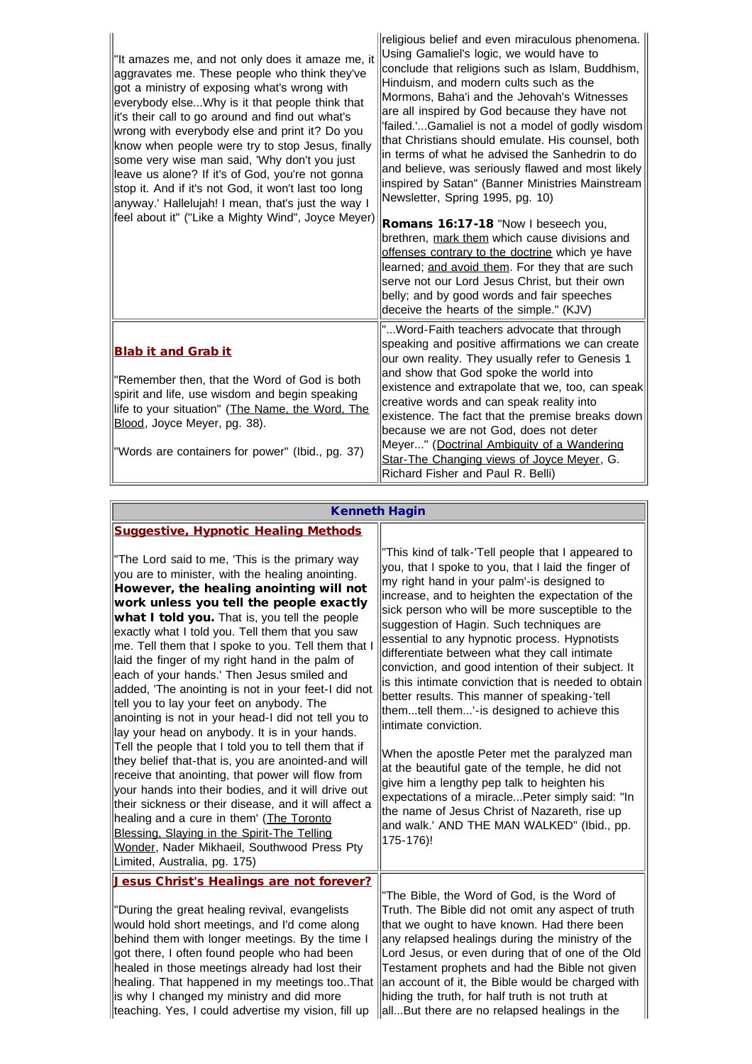| "It amazes me, and not only does it amaze me, it<br>aggravates me. These people who think they've<br>got a ministry of exposing what's wrong with<br>everybody elseWhy is it that people think that<br>it's their call to go around and find out what's<br>wrong with everybody else and print it? Do you<br>know when people were try to stop Jesus, finally<br>some very wise man said, 'Why don't you just<br>leave us alone? If it's of God, you're not gonna<br>stop it. And if it's not God, it won't last too long<br>anyway.' Hallelujah! I mean, that's just the way I<br>feel about it" ("Like a Mighty Wind", Joyce Meyer) | religious belief and even miraculous phenomena.<br>Using Gamaliel's logic, we would have to<br>conclude that religions such as Islam, Buddhism,<br>Hinduism, and modern cults such as the<br>Mormons, Baha'i and the Jehovah's Witnesses<br>are all inspired by God because they have not<br>'failed.'Gamaliel is not a model of godly wisdom<br>that Christians should emulate. His counsel, both<br>in terms of what he advised the Sanhedrin to do<br>and believe, was seriously flawed and most likely<br>inspired by Satan" (Banner Ministries Mainstream<br>Newsletter, Spring 1995, pg. 10)<br>Romans 16:17-18 "Now I beseech you,<br>brethren, mark them which cause divisions and<br>offenses contrary to the doctrine which ye have<br>learned; and avoid them. For they that are such<br>serve not our Lord Jesus Christ, but their own<br>belly; and by good words and fair speeches<br>deceive the hearts of the simple." (KJV) |
|---------------------------------------------------------------------------------------------------------------------------------------------------------------------------------------------------------------------------------------------------------------------------------------------------------------------------------------------------------------------------------------------------------------------------------------------------------------------------------------------------------------------------------------------------------------------------------------------------------------------------------------|----------------------------------------------------------------------------------------------------------------------------------------------------------------------------------------------------------------------------------------------------------------------------------------------------------------------------------------------------------------------------------------------------------------------------------------------------------------------------------------------------------------------------------------------------------------------------------------------------------------------------------------------------------------------------------------------------------------------------------------------------------------------------------------------------------------------------------------------------------------------------------------------------------------------------------------------|
| <b>Blab it and Grab it</b><br>"Remember then, that the Word of God is both<br>spirit and life, use wisdom and begin speaking<br>life to your situation" (The Name, the Word, The<br>Blood, Joyce Meyer, pg. 38).                                                                                                                                                                                                                                                                                                                                                                                                                      | " Word-Faith teachers advocate that through<br>speaking and positive affirmations we can create<br>our own reality. They usually refer to Genesis 1<br>and show that God spoke the world into<br>existence and extrapolate that we, too, can speak<br>creative words and can speak reality into<br>existence. The fact that the premise breaks down<br>because we are not God, does not deter<br>Meyer" (Doctrinal Ambiguity of a Wandering                                                                                                                                                                                                                                                                                                                                                                                                                                                                                                  |
| "Words are containers for power" (Ibid., pg. 37)                                                                                                                                                                                                                                                                                                                                                                                                                                                                                                                                                                                      | Star-The Changing views of Joyce Meyer, G.<br>Richard Fisher and Paul R. Belli)                                                                                                                                                                                                                                                                                                                                                                                                                                                                                                                                                                                                                                                                                                                                                                                                                                                              |

## Kenneth Hagin

| <b>Suggestive, Hypnotic Healing Methods</b>                                                                                                                                                                                                                                                                                                                                                                                                                                                                                                                                                                                                                                                                                                                                                                                                                                                                                                                                                                                                                                                                                     |                                                                                                                                                                                                                                                                                                                                                                                                                                                                                                                                                                                                                                                                                                                                                                                                                                                                                                                                                                      |
|---------------------------------------------------------------------------------------------------------------------------------------------------------------------------------------------------------------------------------------------------------------------------------------------------------------------------------------------------------------------------------------------------------------------------------------------------------------------------------------------------------------------------------------------------------------------------------------------------------------------------------------------------------------------------------------------------------------------------------------------------------------------------------------------------------------------------------------------------------------------------------------------------------------------------------------------------------------------------------------------------------------------------------------------------------------------------------------------------------------------------------|----------------------------------------------------------------------------------------------------------------------------------------------------------------------------------------------------------------------------------------------------------------------------------------------------------------------------------------------------------------------------------------------------------------------------------------------------------------------------------------------------------------------------------------------------------------------------------------------------------------------------------------------------------------------------------------------------------------------------------------------------------------------------------------------------------------------------------------------------------------------------------------------------------------------------------------------------------------------|
| "The Lord said to me, 'This is the primary way<br>you are to minister, with the healing anointing.<br>However, the healing anointing will not<br>work unless you tell the people exactly<br>what I told you. That is, you tell the people<br>exactly what I told you. Tell them that you saw<br>me. Tell them that I spoke to you. Tell them that I<br>laid the finger of my right hand in the palm of<br>each of your hands.' Then Jesus smiled and<br>added, 'The anointing is not in your feet-I did not<br>tell you to lay your feet on anybody. The<br>anointing is not in your head-I did not tell you to<br>lay your head on anybody. It is in your hands.<br>Tell the people that I told you to tell them that if<br>they belief that-that is, you are anointed-and will<br>receive that anointing, that power will flow from<br>your hands into their bodies, and it will drive out<br>their sickness or their disease, and it will affect a<br>healing and a cure in them' (The Toronto<br>Blessing, Slaying in the Spirit-The Telling<br>Wonder, Nader Mikhaeil, Southwood Press Pty<br>Limited, Australia, pg. 175) | "This kind of talk-'Tell people that I appeared to<br>you, that I spoke to you, that I laid the finger of<br>my right hand in your palm'-is designed to<br>increase, and to heighten the expectation of the<br>sick person who will be more susceptible to the<br>suggestion of Hagin. Such techniques are<br>essential to any hypnotic process. Hypnotists<br>differentiate between what they call intimate<br>conviction, and good intention of their subject. It<br>is this intimate conviction that is needed to obtain<br>better results. This manner of speaking-'tell<br>themtell them'-is designed to achieve this<br>lintimate conviction.<br>When the apostle Peter met the paralyzed man<br>at the beautiful gate of the temple, he did not<br>give him a lengthy pep talk to heighten his<br>expectations of a miraclePeter simply said: "In<br>the name of Jesus Christ of Nazareth, rise up<br>and walk.' AND THE MAN WALKED" (Ibid., pp.<br>175-176)! |
| Jesus Christ's Healings are not forever?                                                                                                                                                                                                                                                                                                                                                                                                                                                                                                                                                                                                                                                                                                                                                                                                                                                                                                                                                                                                                                                                                        | "The Bible, the Word of God, is the Word of                                                                                                                                                                                                                                                                                                                                                                                                                                                                                                                                                                                                                                                                                                                                                                                                                                                                                                                          |
| "During the great healing revival, evangelists<br>would hold short meetings, and I'd come along                                                                                                                                                                                                                                                                                                                                                                                                                                                                                                                                                                                                                                                                                                                                                                                                                                                                                                                                                                                                                                 | Truth. The Bible did not omit any aspect of truth<br>that we ought to have known. Had there been                                                                                                                                                                                                                                                                                                                                                                                                                                                                                                                                                                                                                                                                                                                                                                                                                                                                     |
| behind them with longer meetings. By the time I<br>got there, I often found people who had been                                                                                                                                                                                                                                                                                                                                                                                                                                                                                                                                                                                                                                                                                                                                                                                                                                                                                                                                                                                                                                 | any relapsed healings during the ministry of the<br>Lord Jesus, or even during that of one of the Old                                                                                                                                                                                                                                                                                                                                                                                                                                                                                                                                                                                                                                                                                                                                                                                                                                                                |
| healed in those meetings already had lost their                                                                                                                                                                                                                                                                                                                                                                                                                                                                                                                                                                                                                                                                                                                                                                                                                                                                                                                                                                                                                                                                                 | Testament prophets and had the Bible not given                                                                                                                                                                                                                                                                                                                                                                                                                                                                                                                                                                                                                                                                                                                                                                                                                                                                                                                       |
| healing. That happened in my meetings tooThat<br>is why I changed my ministry and did more                                                                                                                                                                                                                                                                                                                                                                                                                                                                                                                                                                                                                                                                                                                                                                                                                                                                                                                                                                                                                                      | an account of it, the Bible would be charged with<br>hiding the truth, for half truth is not truth at                                                                                                                                                                                                                                                                                                                                                                                                                                                                                                                                                                                                                                                                                                                                                                                                                                                                |
| teaching. Yes, I could advertise my vision, fill up                                                                                                                                                                                                                                                                                                                                                                                                                                                                                                                                                                                                                                                                                                                                                                                                                                                                                                                                                                                                                                                                             | allBut there are no relapsed healings in the                                                                                                                                                                                                                                                                                                                                                                                                                                                                                                                                                                                                                                                                                                                                                                                                                                                                                                                         |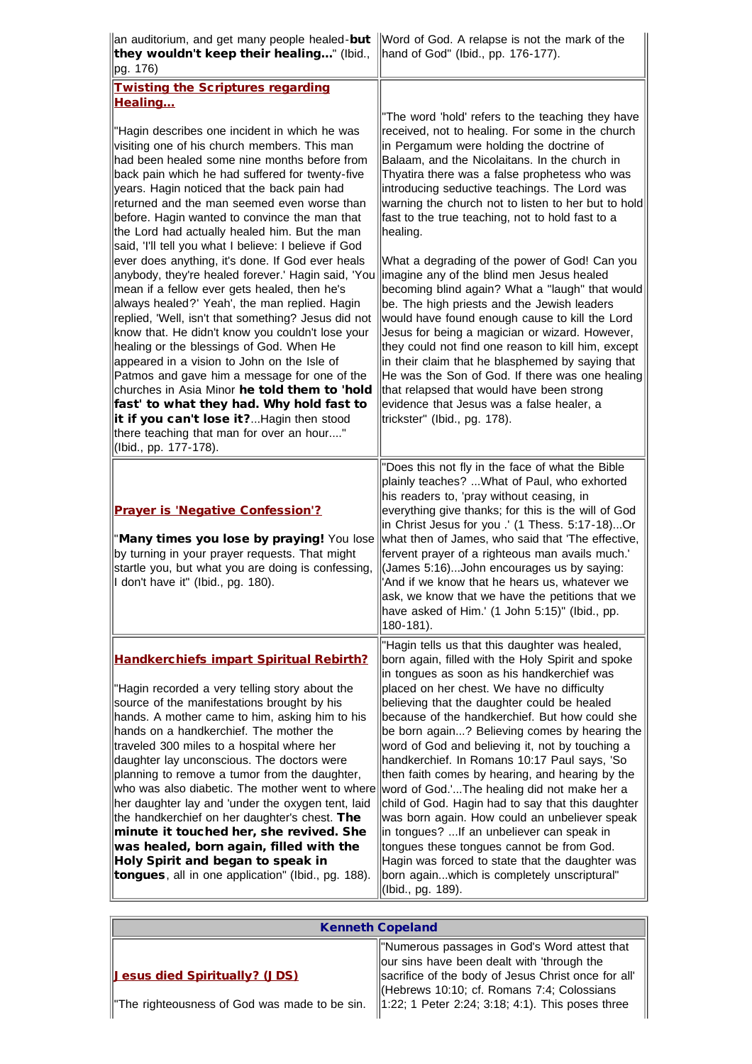| an auditorium, and get many people healed- <b>but</b><br>they wouldn't keep their healing" (lbid.,<br>lpg. 176)                                                                                                                                                                                                                                                                                                                                                                                                                                                                                                                                                                                                                     | Word of God. A relapse is not the mark of the<br>hand of God" (Ibid., pp. 176-177).                                                                                                                                                                                                                                                                                                                                                                                                                                                                                                                                                                                                                                                                                                                                                                                           |
|-------------------------------------------------------------------------------------------------------------------------------------------------------------------------------------------------------------------------------------------------------------------------------------------------------------------------------------------------------------------------------------------------------------------------------------------------------------------------------------------------------------------------------------------------------------------------------------------------------------------------------------------------------------------------------------------------------------------------------------|-------------------------------------------------------------------------------------------------------------------------------------------------------------------------------------------------------------------------------------------------------------------------------------------------------------------------------------------------------------------------------------------------------------------------------------------------------------------------------------------------------------------------------------------------------------------------------------------------------------------------------------------------------------------------------------------------------------------------------------------------------------------------------------------------------------------------------------------------------------------------------|
| <b>Twisting the Scriptures regarding</b><br><b>Healing</b>                                                                                                                                                                                                                                                                                                                                                                                                                                                                                                                                                                                                                                                                          |                                                                                                                                                                                                                                                                                                                                                                                                                                                                                                                                                                                                                                                                                                                                                                                                                                                                               |
| "Hagin describes one incident in which he was<br>visiting one of his church members. This man<br>had been healed some nine months before from<br>back pain which he had suffered for twenty-five<br>years. Hagin noticed that the back pain had<br>returned and the man seemed even worse than<br>before. Hagin wanted to convince the man that<br>the Lord had actually healed him. But the man<br>said, 'I'll tell you what I believe: I believe if God                                                                                                                                                                                                                                                                           | "The word 'hold' refers to the teaching they have<br>received, not to healing. For some in the church<br>in Pergamum were holding the doctrine of<br>Balaam, and the Nicolaitans. In the church in<br>Thyatira there was a false prophetess who was<br>introducing seductive teachings. The Lord was<br>warning the church not to listen to her but to hold<br>fast to the true teaching, not to hold fast to a<br>healing.                                                                                                                                                                                                                                                                                                                                                                                                                                                   |
| ever does anything, it's done. If God ever heals<br>anybody, they're healed forever.' Hagin said, 'You<br>mean if a fellow ever gets healed, then he's<br>always healed?' Yeah', the man replied. Hagin<br>replied, 'Well, isn't that something? Jesus did not<br>know that. He didn't know you couldn't lose your<br>healing or the blessings of God. When He<br>appeared in a vision to John on the Isle of<br>Patmos and gave him a message for one of the<br>churches in Asia Minor he told them to 'hold<br>fast' to what they had. Why hold fast to<br>it if you can't lose it?Hagin then stood<br>there teaching that man for over an hour"<br>(Ibid., pp. 177-178).                                                         | What a degrading of the power of God! Can you<br>imagine any of the blind men Jesus healed<br>becoming blind again? What a "laugh" that would<br>be. The high priests and the Jewish leaders<br>would have found enough cause to kill the Lord<br>Jesus for being a magician or wizard. However,<br>they could not find one reason to kill him, except<br>in their claim that he blasphemed by saying that<br>He was the Son of God. If there was one healing<br>that relapsed that would have been strong<br>evidence that Jesus was a false healer, a<br>trickster" (Ibid., pg. 178).                                                                                                                                                                                                                                                                                       |
| <b>Prayer is 'Negative Confession'?</b><br>"Many times you lose by praying! You lose<br>by turning in your prayer requests. That might<br>startle you, but what you are doing is confessing,<br>I don't have it" (Ibid., pg. 180).                                                                                                                                                                                                                                                                                                                                                                                                                                                                                                  | "Does this not fly in the face of what the Bible<br>plainly teaches?  What of Paul, who exhorted<br>his readers to, 'pray without ceasing, in<br>everything give thanks; for this is the will of God<br>in Christ Jesus for you .' (1 Thess. 5:17-18)Or<br>what then of James, who said that 'The effective,<br>fervent prayer of a righteous man avails much.'<br>(James 5:16)John encourages us by saying:<br>'And if we know that he hears us, whatever we<br>ask, we know that we have the petitions that we<br>have asked of Him.' (1 John 5:15)" (Ibid., pp.<br>180-181).                                                                                                                                                                                                                                                                                               |
| <b>Handkerchiefs impart Spiritual Rebirth?</b><br>"Hagin recorded a very telling story about the<br>source of the manifestations brought by his<br>hands. A mother came to him, asking him to his<br>hands on a handkerchief. The mother the<br>traveled 300 miles to a hospital where her<br>daughter lay unconscious. The doctors were<br>planning to remove a tumor from the daughter,<br>who was also diabetic. The mother went to where<br>her daughter lay and 'under the oxygen tent, laid<br>the handkerchief on her daughter's chest. The<br>minute it touched her, she revived. She<br>was healed, born again, filled with the<br>Holy Spirit and began to speak in<br>tongues, all in one application" (Ibid., pg. 188). | "Hagin tells us that this daughter was healed,<br>born again, filled with the Holy Spirit and spoke<br>in tongues as soon as his handkerchief was<br>placed on her chest. We have no difficulty<br>believing that the daughter could be healed<br>because of the handkerchief. But how could she<br>be born again? Believing comes by hearing the<br>word of God and believing it, not by touching a<br>handkerchief. In Romans 10:17 Paul says, 'So<br>then faith comes by hearing, and hearing by the<br>word of God.'The healing did not make her a<br>child of God. Hagin had to say that this daughter<br>was born again. How could an unbeliever speak<br>in tongues? If an unbeliever can speak in<br>tongues these tongues cannot be from God.<br>Hagin was forced to state that the daughter was<br>born againwhich is completely unscriptural"<br>(Ibid., pg. 189). |

| <b>Kenneth Copeland</b>                      |                                                                                                    |
|----------------------------------------------|----------------------------------------------------------------------------------------------------|
|                                              | Womerous passages in God's Word attest that<br>lour sins have been dealt with 'through the         |
| <u>Jesus died Spiritually? (JDS)</u>         | sacrifice of the body of Jesus Christ once for all'                                                |
| The righteousness of God was made to be sin. | Hebrews 10:10; cf. Romans 7:4; Colossians<br>$\ 1:22$ ; 1 Peter 2:24; 3:18; 4:1). This poses three |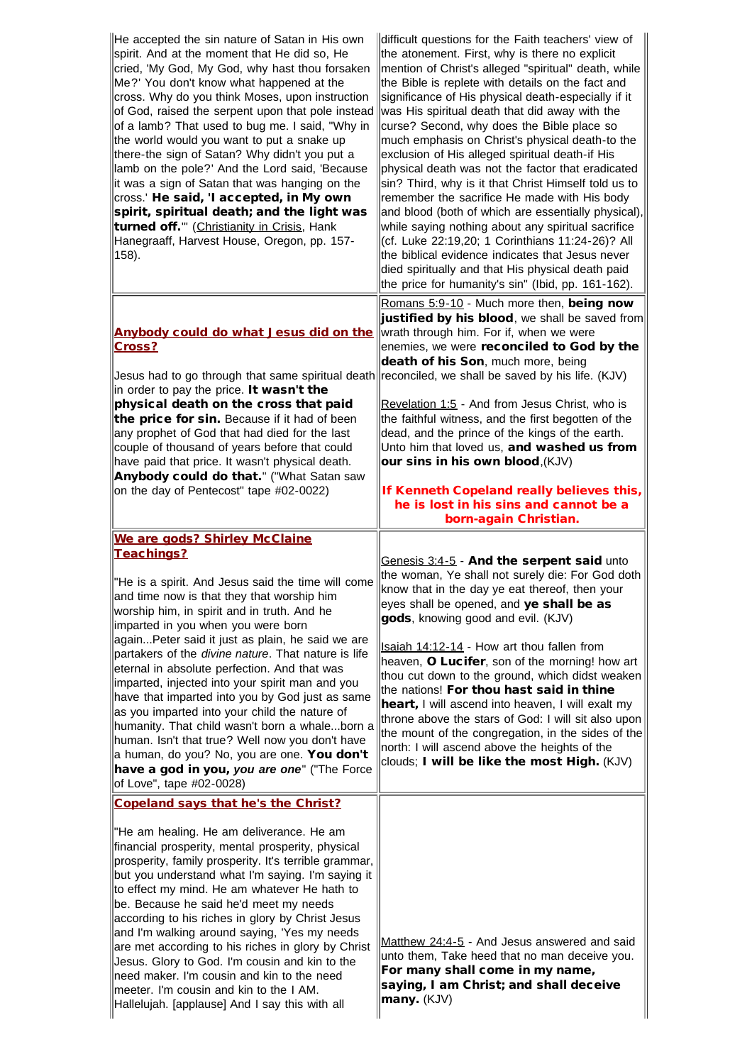| He accepted the sin nature of Satan in His own<br>spirit. And at the moment that He did so, He<br>cried, 'My God, My God, why hast thou forsaken<br>Me?' You don't know what happened at the<br>cross. Why do you think Moses, upon instruction<br>of God, raised the serpent upon that pole instead<br>of a lamb? That used to bug me. I said, "Why in<br>the world would you want to put a snake up<br>there-the sign of Satan? Why didn't you put a<br>lamb on the pole?' And the Lord said, 'Because<br>it was a sign of Satan that was hanging on the<br>cross.' He said, 'I accepted, in My own<br>spirit, spiritual death; and the light was<br>turned off." (Christianity in Crisis, Hank<br>Hanegraaff, Harvest House, Oregon, pp. 157-<br> 158).                                           | difficult questions for the Faith teachers' view of<br>the atonement. First, why is there no explicit<br>mention of Christ's alleged "spiritual" death, while<br>the Bible is replete with details on the fact and<br>significance of His physical death-especially if it<br>was His spiritual death that did away with the<br>curse? Second, why does the Bible place so<br>much emphasis on Christ's physical death-to the<br>exclusion of His alleged spiritual death-if His<br>physical death was not the factor that eradicated<br>sin? Third, why is it that Christ Himself told us to<br>remember the sacrifice He made with His body<br>and blood (both of which are essentially physical),<br>while saying nothing about any spiritual sacrifice<br>(cf. Luke 22:19,20; 1 Corinthians 11:24-26)? All<br>the biblical evidence indicates that Jesus never<br>died spiritually and that His physical death paid<br>the price for humanity's sin" (Ibid, pp. 161-162). |
|------------------------------------------------------------------------------------------------------------------------------------------------------------------------------------------------------------------------------------------------------------------------------------------------------------------------------------------------------------------------------------------------------------------------------------------------------------------------------------------------------------------------------------------------------------------------------------------------------------------------------------------------------------------------------------------------------------------------------------------------------------------------------------------------------|------------------------------------------------------------------------------------------------------------------------------------------------------------------------------------------------------------------------------------------------------------------------------------------------------------------------------------------------------------------------------------------------------------------------------------------------------------------------------------------------------------------------------------------------------------------------------------------------------------------------------------------------------------------------------------------------------------------------------------------------------------------------------------------------------------------------------------------------------------------------------------------------------------------------------------------------------------------------------|
| Anybody could do what Jesus did on the<br><b>Cross?</b><br>Jesus had to go through that same spiritual death reconciled, we shall be saved by his life. (KJV)<br>in order to pay the price. It wasn't the<br>physical death on the cross that paid<br>the price for sin. Because if it had of been<br>any prophet of God that had died for the last<br>couple of thousand of years before that could<br>have paid that price. It wasn't physical death.<br>Anybody could do that." ("What Satan saw<br>on the day of Pentecost" tape #02-0022)                                                                                                                                                                                                                                                       | Romans 5:9-10 - Much more then, being now<br>justified by his blood, we shall be saved from<br>wrath through him. For if, when we were<br>enemies, we were reconciled to God by the<br>death of his Son, much more, being<br>Revelation 1:5 - And from Jesus Christ, who is<br>the faithful witness, and the first begotten of the<br>dead, and the prince of the kings of the earth.<br>Unto him that loved us, and washed us from<br>our sins in his own blood, (KJV)<br>If Kenneth Copeland really believes this,<br>he is lost in his sins and cannot be a<br>born-again Christian.                                                                                                                                                                                                                                                                                                                                                                                      |
| We are gods? Shirley McClaine<br><b>Teachings?</b><br>"He is a spirit. And Jesus said the time will come<br>and time now is that they that worship him<br>worship him, in spirit and in truth. And he<br>imparted in you when you were born<br>againPeter said it just as plain, he said we are<br>partakers of the <i>divine nature</i> . That nature is life<br>eternal in absolute perfection. And that was<br>imparted, injected into your spirit man and you<br>have that imparted into you by God just as same<br>as you imparted into your child the nature of<br>humanity. That child wasn't born a whaleborn a<br>human. Isn't that true? Well now you don't have<br>a human, do you? No, you are one. You don't<br>have a god in you, you are one" ("The Force<br>of Love", tape #02-0028) | Genesis 3:4-5 - And the serpent said unto<br>the woman, Ye shall not surely die: For God doth<br>know that in the day ye eat thereof, then your<br>eyes shall be opened, and ye shall be as<br>gods, knowing good and evil. (KJV)<br>Isaiah 14:12-14 - How art thou fallen from<br>heaven, O Lucifer, son of the morning! how art<br>thou cut down to the ground, which didst weaken<br>the nations! For thou hast said in thine<br>heart, I will ascend into heaven, I will exalt my<br>throne above the stars of God: I will sit also upon<br>the mount of the congregation, in the sides of the<br>north: I will ascend above the heights of the<br>clouds; I will be like the most High. (KJV)                                                                                                                                                                                                                                                                           |
| Copeland says that he's the Christ?<br>"He am healing. He am deliverance. He am<br>financial prosperity, mental prosperity, physical<br>prosperity, family prosperity. It's terrible grammar,<br>but you understand what I'm saying. I'm saying it<br>to effect my mind. He am whatever He hath to<br>be. Because he said he'd meet my needs<br>according to his riches in glory by Christ Jesus<br>and I'm walking around saying, 'Yes my needs<br>are met according to his riches in glory by Christ<br>Jesus. Glory to God. I'm cousin and kin to the<br>need maker. I'm cousin and kin to the need<br>meeter. I'm cousin and kin to the I AM.<br>Hallelujah. [applause] And I say this with all                                                                                                  | Matthew 24:4-5 - And Jesus answered and said<br>unto them, Take heed that no man deceive you.<br>For many shall come in my name,<br>saying, I am Christ; and shall deceive<br>many. (KJV)                                                                                                                                                                                                                                                                                                                                                                                                                                                                                                                                                                                                                                                                                                                                                                                    |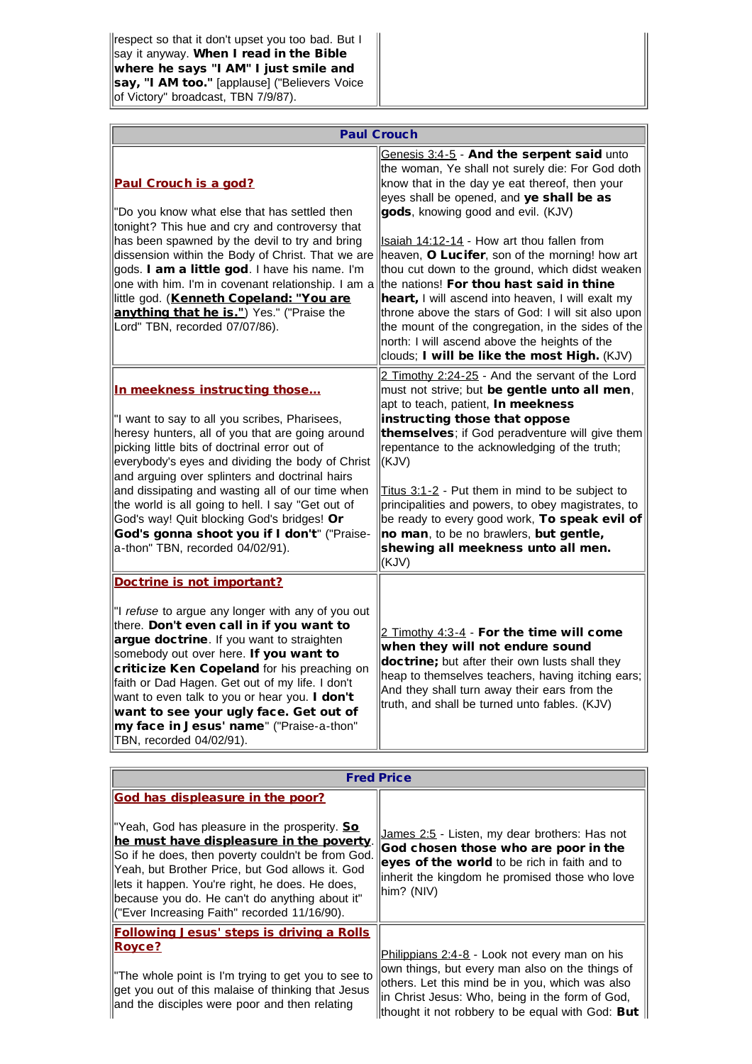respect so that it don't upset you too bad. But I say it anyway. When I read in the Bible where he says "I AM" I just smile and say, "I AM too." [applause] ("Believers Voice of Victory" broadcast, TBN 7/9/87).

|                                                                                                                                                                                                                                                                                                                                                                                                                                                                                                                                     | <b>Paul Crouch</b>                                                                                                                                                                                                                                                                                                                                                                                                                                                                                                                                                                                                                                                                                 |
|-------------------------------------------------------------------------------------------------------------------------------------------------------------------------------------------------------------------------------------------------------------------------------------------------------------------------------------------------------------------------------------------------------------------------------------------------------------------------------------------------------------------------------------|----------------------------------------------------------------------------------------------------------------------------------------------------------------------------------------------------------------------------------------------------------------------------------------------------------------------------------------------------------------------------------------------------------------------------------------------------------------------------------------------------------------------------------------------------------------------------------------------------------------------------------------------------------------------------------------------------|
| Paul Crouch is a god?<br>"Do you know what else that has settled then<br>tonight? This hue and cry and controversy that<br>has been spawned by the devil to try and bring<br>dissension within the Body of Christ. That we are<br>gods. I am a little god. I have his name. I'm<br>one with him. I'm in covenant relationship. I am a<br>little god. (Kenneth Copeland: "You are<br>anything that he is.") Yes." ("Praise the<br>Lord" TBN, recorded 07/07/86).                                                                     | Genesis 3:4-5 - And the serpent said unto<br>the woman, Ye shall not surely die: For God doth<br>know that in the day ye eat thereof, then your<br>eyes shall be opened, and ye shall be as<br>gods, knowing good and evil. (KJV)<br>Isaiah 14:12-14 - How art thou fallen from<br>heaven, O Lucifer, son of the morning! how art<br>thou cut down to the ground, which didst weaken<br>the nations! For thou hast said in thine<br>heart, I will ascend into heaven, I will exalt my<br>throne above the stars of God: I will sit also upon<br>the mount of the congregation, in the sides of the<br>north: I will ascend above the heights of the<br>clouds; I will be like the most High. (KJV) |
| In meekness instructing those<br>"I want to say to all you scribes, Pharisees,<br>heresy hunters, all of you that are going around<br>picking little bits of doctrinal error out of<br>everybody's eyes and dividing the body of Christ<br>and arguing over splinters and doctrinal hairs<br>and dissipating and wasting all of our time when<br>the world is all going to hell. I say "Get out of<br>God's way! Quit blocking God's bridges! Or<br>God's gonna shoot you if I don't" ("Praise-<br>a-thon" TBN, recorded 04/02/91). | 2 Timothy 2:24-25 - And the servant of the Lord<br>must not strive; but be gentle unto all men,<br>apt to teach, patient, <b>In meekness</b><br>instructing those that oppose<br>themselves; if God peradventure will give them<br>repentance to the acknowledging of the truth;<br>(KJV)<br>Titus 3:1-2 - Put them in mind to be subject to<br>principalities and powers, to obey magistrates, to<br>be ready to every good work, To speak evil of<br>no man, to be no brawlers, but gentle,<br>shewing all meekness unto all men.<br>(KJV)                                                                                                                                                       |
| Doctrine is not important?<br>"I refuse to argue any longer with any of you out<br>there. Don't even call in if you want to<br>argue doctrine. If you want to straighten<br>somebody out over here. If you want to<br>criticize Ken Copeland for his preaching on<br>faith or Dad Hagen. Get out of my life. I don't<br>want to even talk to you or hear you. I don't<br>want to see your ugly face. Get out of<br>my face in Jesus' name" ("Praise-a-thon"<br>TBN, recorded 04/02/91).                                             | 2 Timothy 4:3-4 - For the time will come<br>when they will not endure sound<br>doctrine; but after their own lusts shall they<br>heap to themselves teachers, having itching ears;<br>And they shall turn away their ears from the<br>truth, and shall be turned unto fables. (KJV)                                                                                                                                                                                                                                                                                                                                                                                                                |

|                                                                                                                                                                                                                                                                                                                                                                                                         | <b>Fred Price</b>                                                                                                                                                                                                                                          |
|---------------------------------------------------------------------------------------------------------------------------------------------------------------------------------------------------------------------------------------------------------------------------------------------------------------------------------------------------------------------------------------------------------|------------------------------------------------------------------------------------------------------------------------------------------------------------------------------------------------------------------------------------------------------------|
| <b>God has displeasure in the poor?</b><br>  "Yeah, God has pleasure in the prosperity. So<br>he must have displeasure in the poverty.<br>So if he does, then poverty couldn't be from God.<br>Yeah, but Brother Price, but God allows it. God<br>lets it happen. You're right, he does. He does,<br>  because you do. He can't do anything about it"<br>II" Ever Increasing Faith" recorded 11/16/90). | James 2:5 - Listen, my dear brothers: Has not<br>God chosen those who are poor in the<br>eyes of the world to be rich in faith and to<br>inherit the kingdom he promised those who love<br>him? (NIV)                                                      |
| <b>Following Jesus' steps is driving a Rolls</b><br>Royce?<br>The whole point is I'm trying to get you to see to<br>get you out of this malaise of thinking that Jesus<br>and the disciples were poor and then relating                                                                                                                                                                                 | Philippians 2:4-8 - Look not every man on his<br>own things, but every man also on the things of<br>others. Let this mind be in you, which was also<br>in Christ Jesus: Who, being in the form of God,<br>thought it not robbery to be equal with God: But |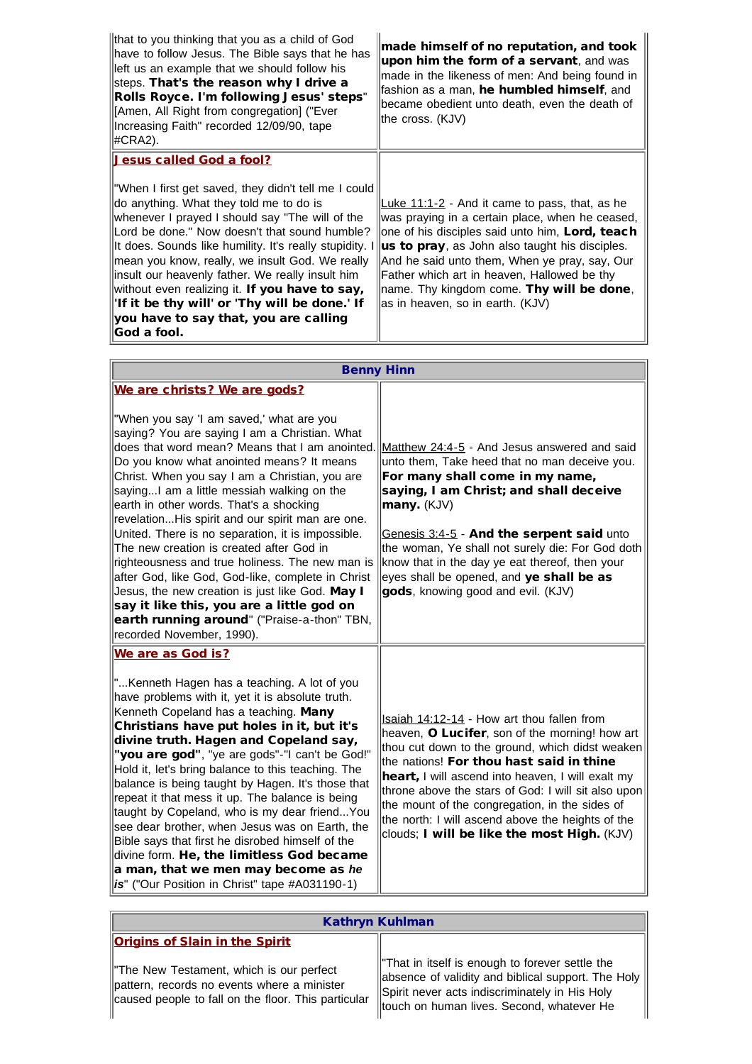| that to you thinking that you as a child of God<br>have to follow Jesus. The Bible says that he has<br>left us an example that we should follow his<br>steps. That's the reason why I drive a<br>Rolls Royce. I'm following Jesus' steps"<br>[Amen, All Right from congregation] ("Ever<br>Increasing Faith" recorded 12/09/90, tape<br>$HCRA2$ ).                                                                                                                                                                                                                    | made himself of no reputation, and took<br>upon him the form of a servant, and was<br>made in the likeness of men: And being found in<br>fashion as a man, he humbled himself, and<br>became obedient unto death, even the death of<br>the cross. (KJV)                                                                                                                                 |
|-----------------------------------------------------------------------------------------------------------------------------------------------------------------------------------------------------------------------------------------------------------------------------------------------------------------------------------------------------------------------------------------------------------------------------------------------------------------------------------------------------------------------------------------------------------------------|-----------------------------------------------------------------------------------------------------------------------------------------------------------------------------------------------------------------------------------------------------------------------------------------------------------------------------------------------------------------------------------------|
| Jesus called God a fool?<br>"When I first get saved, they didn't tell me I could<br>do anything. What they told me to do is<br>whenever I prayed I should say "The will of the<br>Lord be done." Now doesn't that sound humble?<br>It does. Sounds like humility. It's really stupidity. I<br>lmean you know, really, we insult God. We really<br>linsult our heavenly father. We really insult him<br>without even realizing it. If you have to say,<br>'If it be thy will' or 'Thy will be done.' If<br>you have to say that, you are calling<br><b>God a fool.</b> | Luke 11:1-2 - And it came to pass, that, as he<br>was praying in a certain place, when he ceased,<br>one of his disciples said unto him, Lord, teach<br>us to pray, as John also taught his disciples.<br>And he said unto them, When ye pray, say, Our<br>Father which art in heaven, Hallowed be thy<br>name. Thy kingdom come. Thy will be done,<br>as in heaven, so in earth. (KJV) |

|                                                                                                                                                                                                                                                                                                                                                                                                                                                                                                                                                                                                                                                                                                                                                                              | <b>Benny Hinn</b>                                                                                                                                                                                                                                                                                                                                                                                                                                             |
|------------------------------------------------------------------------------------------------------------------------------------------------------------------------------------------------------------------------------------------------------------------------------------------------------------------------------------------------------------------------------------------------------------------------------------------------------------------------------------------------------------------------------------------------------------------------------------------------------------------------------------------------------------------------------------------------------------------------------------------------------------------------------|---------------------------------------------------------------------------------------------------------------------------------------------------------------------------------------------------------------------------------------------------------------------------------------------------------------------------------------------------------------------------------------------------------------------------------------------------------------|
| We are christs? We are gods?                                                                                                                                                                                                                                                                                                                                                                                                                                                                                                                                                                                                                                                                                                                                                 |                                                                                                                                                                                                                                                                                                                                                                                                                                                               |
| "When you say 'I am saved,' what are you<br>saying? You are saying I am a Christian. What<br>does that word mean? Means that I am anointed.<br>Do you know what anointed means? It means<br>Christ. When you say I am a Christian, you are<br>sayingI am a little messiah walking on the<br>earth in other words. That's a shocking<br>revelationHis spirit and our spirit man are one.<br>United. There is no separation, it is impossible.<br>The new creation is created after God in<br>righteousness and true holiness. The new man is<br>after God, like God, God-like, complete in Christ<br>Jesus, the new creation is just like God. May I<br>say it like this, you are a little god on<br>earth running around" ("Praise-a-thon" TBN,<br>recorded November, 1990). | Matthew 24:4-5 - And Jesus answered and said<br>unto them, Take heed that no man deceive you.<br>For many shall come in my name,<br>saying, I am Christ; and shall deceive<br>many. (KJV)<br>Genesis 3:4-5 - And the serpent said unto<br>the woman, Ye shall not surely die: For God doth<br>know that in the day ye eat thereof, then your<br>eyes shall be opened, and ye shall be as<br>gods, knowing good and evil. (KJV)                                |
| We are as God is?<br>"Kenneth Hagen has a teaching. A lot of you<br>have problems with it, yet it is absolute truth.<br>Kenneth Copeland has a teaching. Many<br>Christians have put holes in it, but it's<br>divine truth. Hagen and Copeland say,<br>"you are god", "ye are gods"-"I can't be God!"<br>Hold it, let's bring balance to this teaching. The<br>balance is being taught by Hagen. It's those that<br>repeat it that mess it up. The balance is being<br>taught by Copeland, who is my dear friendYou<br>see dear brother, when Jesus was on Earth, the<br>Bible says that first he disrobed himself of the<br>divine form. He, the limitless God became<br>a man, that we men may become as he<br>is" ("Our Position in Christ" tape #A031190-1)              | Isaiah 14:12-14 - How art thou fallen from<br>heaven, O Lucifer, son of the morning! how art<br>thou cut down to the ground, which didst weaken<br>the nations! For thou hast said in thine<br>heart, I will ascend into heaven, I will exalt my<br>throne above the stars of God: I will sit also upon<br>the mount of the congregation, in the sides of<br>the north: I will ascend above the heights of the<br>clouds; I will be like the most High. (KJV) |

## Kathryn Kuhlman

| <b>Origins of Slain in the Spirit</b>                                                                                                           |                                                                                                                                                                                                      |
|-------------------------------------------------------------------------------------------------------------------------------------------------|------------------------------------------------------------------------------------------------------------------------------------------------------------------------------------------------------|
| I'The New Testament, which is our perfect<br>pattern, records no events where a minister<br>caused people to fall on the floor. This particular | That in itself is enough to forever settle the<br>absence of validity and biblical support. The Holy<br>Spirit never acts indiscriminately in His Holy<br>ltouch on human lives. Second, whatever He |